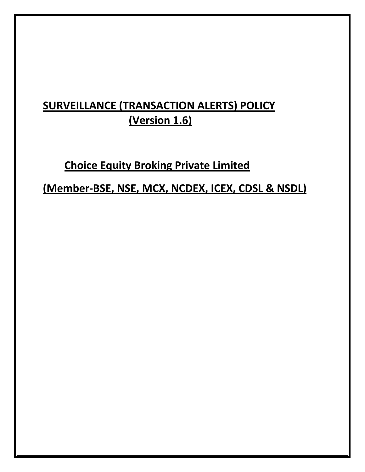# **SURVEILLANCE (TRANSACTION ALERTS) POLICY (Version 1.6)**

# **Choice Equity Broking Private Limited**

**(Member-BSE, NSE, MCX, NCDEX, ICEX, CDSL & NSDL)**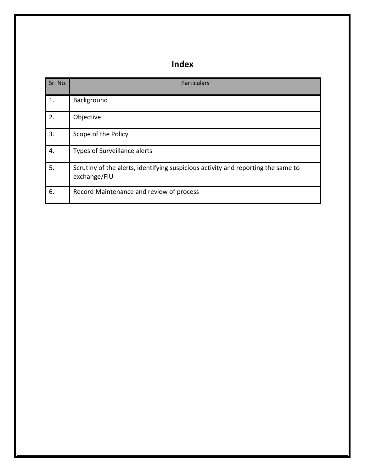## **Index**

| Sr. No. | <b>Particulars</b>                                                                                |
|---------|---------------------------------------------------------------------------------------------------|
| 1.      | Background                                                                                        |
| 2.      | Objective                                                                                         |
| 3.      | Scope of the Policy                                                                               |
| 4.      | Types of Surveillance alerts                                                                      |
| 5.      | Scrutiny of the alerts, identifying suspicious activity and reporting the same to<br>exchange/FIU |
| 6.      | Record Maintenance and review of process                                                          |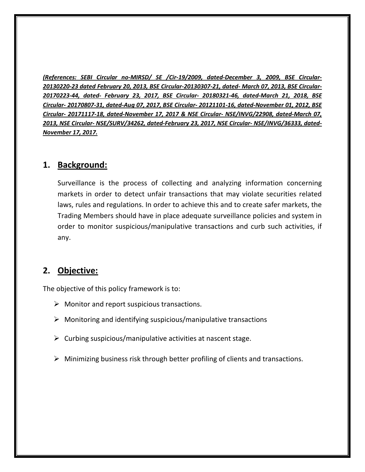*(References: SEBI Circular no-MIRSD/ SE /Cir-19/2009, dated-December 3, 2009, BSE Circular-20130220-23 dated February 20, 2013, BSE Circular-20130307-21, dated- March 07, 2013, BSE Circular-20170223-44, dated- February 23, 2017, BSE Circular- 20180321-46, dated-March 21, 2018, BSE Circular- 20170807-31, dated-Aug 07, 2017, BSE Circular- 20121101-16, dated-November 01, 2012, BSE Circular- 20171117-18, dated-November 17, 2017 & NSE Circular- NSE/INVG/22908, dated-March 07, 2013, NSE Circular- NSE/SURV/34262, dated-February 23, 2017, NSE Circular- NSE/INVG/36333, dated-November 17, 2017.*

#### **1. Background:**

Surveillance is the process of collecting and analyzing information concerning markets in order to detect unfair transactions that may violate securities related laws, rules and regulations. In order to achieve this and to create safer markets, the Trading Members should have in place adequate surveillance policies and system in order to monitor suspicious/manipulative transactions and curb such activities, if any.

#### **2. Objective:**

The objective of this policy framework is to:

- $\triangleright$  Monitor and report suspicious transactions.
- $\triangleright$  Monitoring and identifying suspicious/manipulative transactions
- $\triangleright$  Curbing suspicious/manipulative activities at nascent stage.
- $\triangleright$  Minimizing business risk through better profiling of clients and transactions.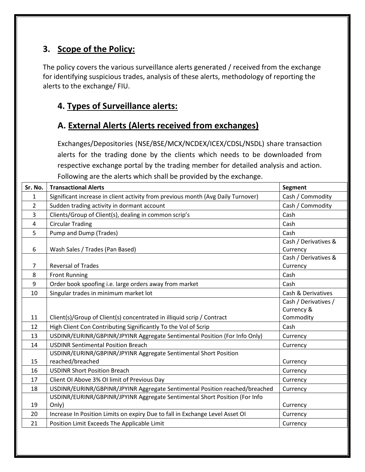### **3. Scope of the Policy:**

The policy covers the various surveillance alerts generated / received from the exchange for identifying suspicious trades, analysis of these alerts, methodology of reporting the alerts to the exchange/ FIU.

### **4. Types of Surveillance alerts:**

### **A. External Alerts (Alerts received from exchanges)**

Exchanges/Depositories (NSE/BSE/MCX/NCDEX/ICEX/CDSL/NSDL) share transaction alerts for the trading done by the clients which needs to be downloaded from respective exchange portal by the trading member for detailed analysis and action. Following are the alerts which shall be provided by the exchange.

| Sr. No.        | <b>Transactional Alerts</b>                                                          | <b>Segment</b>                     |
|----------------|--------------------------------------------------------------------------------------|------------------------------------|
| 1              | Significant increase in client activity from previous month (Avg Daily Turnover)     | Cash / Commodity                   |
| $\overline{2}$ | Sudden trading activity in dormant account                                           | Cash / Commodity                   |
| 3              | Clients/Group of Client(s), dealing in common scrip's                                | Cash                               |
| 4              | <b>Circular Trading</b>                                                              | Cash                               |
| 5              | Pump and Dump (Trades)                                                               | Cash                               |
| 6              | Wash Sales / Trades (Pan Based)                                                      | Cash / Derivatives &<br>Currency   |
| 7              | <b>Reversal of Trades</b>                                                            | Cash / Derivatives &<br>Currency   |
| 8              | <b>Front Running</b>                                                                 | Cash                               |
| 9              | Order book spoofing i.e. large orders away from market                               | Cash                               |
| 10             | Singular trades in minimum market lot                                                | Cash & Derivatives                 |
|                |                                                                                      | Cash / Derivatives /<br>Currency & |
| 11             | Client(s)/Group of Client(s) concentrated in illiquid scrip / Contract               | Commodity                          |
| 12             | High Client Con Contributing Significantly To the Vol of Scrip                       | Cash                               |
| 13             | USDINR/EURINR/GBPINR/JPYINR Aggregate Sentimental Position (For Info Only)           | Currency                           |
| 14             | <b>USDINR Sentimental Position Breach</b>                                            | Currency                           |
| 15             | USDINR/EURINR/GBPINR/JPYINR Aggregate Sentimental Short Position<br>reached/breached | Currency                           |
| 16             | <b>USDINR Short Position Breach</b>                                                  | Currency                           |
| 17             | Client OI Above 3% OI limit of Previous Day                                          | Currency                           |
| 18             | USDINR/EURINR/GBPINR/JPYINR Aggregate Sentimental Position reached/breached          | Currency                           |
| 19             | USDINR/EURINR/GBPINR/JPYINR Aggregate Sentimental Short Position (For Info<br>Only)  | Currency                           |
| 20             | Increase In Position Limits on expiry Due to fall in Exchange Level Asset OI         | Currency                           |
| 21             | Position Limit Exceeds The Applicable Limit                                          | Currency                           |
|                |                                                                                      |                                    |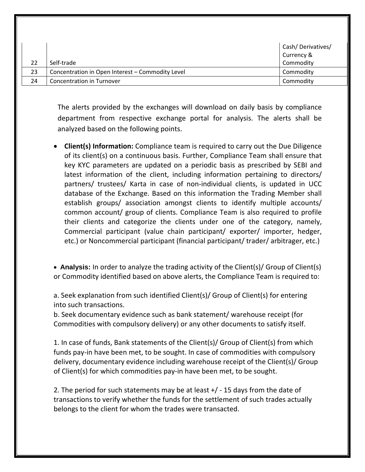|    |                                                  | Cash/Derivatives/ |
|----|--------------------------------------------------|-------------------|
|    |                                                  | Currency &        |
|    | Self-trade                                       | Commodity         |
| 23 | Concentration in Open Interest - Commodity Level | Commodity         |
| 24 | Concentration in Turnover                        | Commodity         |

The alerts provided by the exchanges will download on daily basis by compliance department from respective exchange portal for analysis. The alerts shall be analyzed based on the following points.

• **Client(s) Information:** Compliance team is required to carry out the Due Diligence of its client(s) on a continuous basis. Further, Compliance Team shall ensure that key KYC parameters are updated on a periodic basis as prescribed by SEBI and latest information of the client, including information pertaining to directors/ partners/ trustees/ Karta in case of non-individual clients, is updated in UCC database of the Exchange. Based on this information the Trading Member shall establish groups/ association amongst clients to identify multiple accounts/ common account/ group of clients. Compliance Team is also required to profile their clients and categorize the clients under one of the category, namely, Commercial participant (value chain participant/ exporter/ importer, hedger, etc.) or Noncommercial participant (financial participant/ trader/ arbitrager, etc.)

• **Analysis:** In order to analyze the trading activity of the Client(s)/ Group of Client(s) or Commodity identified based on above alerts, the Compliance Team is required to:

a. Seek explanation from such identified Client(s)/ Group of Client(s) for entering into such transactions.

b. Seek documentary evidence such as bank statement/ warehouse receipt (for Commodities with compulsory delivery) or any other documents to satisfy itself.

1. In case of funds, Bank statements of the Client(s)/ Group of Client(s) from which funds pay-in have been met, to be sought. In case of commodities with compulsory delivery, documentary evidence including warehouse receipt of the Client(s)/ Group of Client(s) for which commodities pay-in have been met, to be sought.

2. The period for such statements may be at least +/ - 15 days from the date of transactions to verify whether the funds for the settlement of such trades actually belongs to the client for whom the trades were transacted.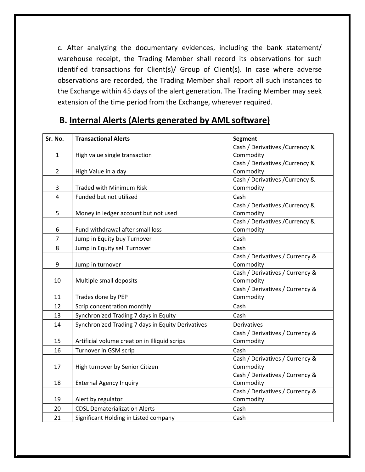c. After analyzing the documentary evidences, including the bank statement/ warehouse receipt, the Trading Member shall record its observations for such identified transactions for Client(s)/ Group of Client(s). In case where adverse observations are recorded, the Trading Member shall report all such instances to the Exchange within 45 days of the alert generation. The Trading Member may seek extension of the time period from the Exchange, wherever required.

| Sr. No.        | <b>Transactional Alerts</b>                       | <b>Segment</b>                  |
|----------------|---------------------------------------------------|---------------------------------|
|                |                                                   | Cash / Derivatives / Currency & |
| $\mathbf{1}$   | High value single transaction                     | Commodity                       |
|                |                                                   | Cash / Derivatives / Currency & |
| $\overline{2}$ | High Value in a day                               | Commodity                       |
|                |                                                   | Cash / Derivatives / Currency & |
| 3              | <b>Traded with Minimum Risk</b>                   | Commodity                       |
| $\overline{4}$ | Funded but not utilized                           | Cash                            |
|                |                                                   | Cash / Derivatives / Currency & |
| 5              | Money in ledger account but not used              | Commodity                       |
|                |                                                   | Cash / Derivatives / Currency & |
| 6              | Fund withdrawal after small loss                  | Commodity                       |
| $\overline{7}$ | Jump in Equity buy Turnover                       | Cash                            |
| 8              | Jump in Equity sell Turnover                      | Cash                            |
|                |                                                   | Cash / Derivatives / Currency & |
| 9              | Jump in turnover                                  | Commodity                       |
|                |                                                   | Cash / Derivatives / Currency & |
| 10             | Multiple small deposits                           | Commodity                       |
|                |                                                   | Cash / Derivatives / Currency & |
| 11             | Trades done by PEP                                | Commodity                       |
| 12             | Scrip concentration monthly                       | Cash                            |
| 13             | Synchronized Trading 7 days in Equity             | Cash                            |
| 14             | Synchronized Trading 7 days in Equity Derivatives | Derivatives                     |
|                |                                                   | Cash / Derivatives / Currency & |
| 15             | Artificial volume creation in Illiquid scrips     | Commodity                       |
| 16             | Turnover in GSM scrip                             | Cash                            |
|                |                                                   | Cash / Derivatives / Currency & |
| 17             | High turnover by Senior Citizen                   | Commodity                       |
|                |                                                   | Cash / Derivatives / Currency & |
| 18             | <b>External Agency Inquiry</b>                    | Commodity                       |
|                |                                                   | Cash / Derivatives / Currency & |
| 19             | Alert by regulator                                | Commodity                       |
| 20             | <b>CDSL Dematerialization Alerts</b>              | Cash                            |
| 21             | Significant Holding in Listed company             | Cash                            |

#### **B. Internal Alerts (Alerts generated by AML software)**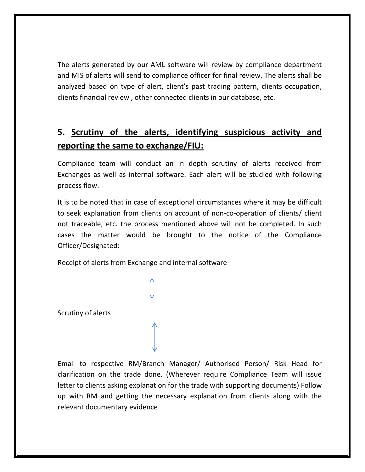The alerts generated by our AML software will review by compliance department and MIS of alerts will send to compliance officer for final review. The alerts shall be analyzed based on type of alert, client's past trading pattern, clients occupation, clients financial review , other connected clients in our database, etc.

## **5. Scrutiny of the alerts, identifying suspicious activity and reporting the same to exchange/FIU:**

Compliance team will conduct an in depth scrutiny of alerts received from Exchanges as well as internal software. Each alert will be studied with following process flow.

It is to be noted that in case of exceptional circumstances where it may be difficult to seek explanation from clients on account of non-co-operation of clients/ client not traceable, etc. the process mentioned above will not be completed. In such cases the matter would be brought to the notice of the Compliance Officer/Designated:

Receipt of alerts from Exchange and internal software

Scrutiny of alerts

Email to respective RM/Branch Manager/ Authorised Person/ Risk Head for clarification on the trade done. (Wherever require Compliance Team will issue letter to clients asking explanation for the trade with supporting documents) Follow up with RM and getting the necessary explanation from clients along with the relevant documentary evidence